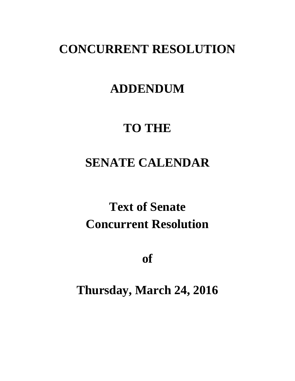## **CONCURRENT RESOLUTION**

### **ADDENDUM**

## **TO THE**

## **SENATE CALENDAR**

# **Text of Senate Concurrent Resolution**

**of**

**Thursday, March 24, 2016**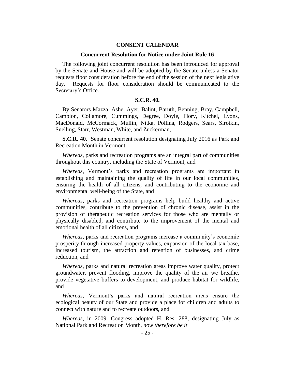### **CONSENT CALENDAR**

#### **Concurrent Resolution for Notice under Joint Rule 16**

The following joint concurrent resolution has been introduced for approval by the Senate and House and will be adopted by the Senate unless a Senator requests floor consideration before the end of the session of the next legislative day. Requests for floor consideration should be communicated to the Secretary's Office.

### **S.C.R. 40.**

By Senators Mazza, Ashe, Ayer, Balint, Baruth, Benning, Bray, Campbell, Campion, Collamore, Cummings, Degree, Doyle, Flory, Kitchel, Lyons, MacDonald, McCormack, Mullin, Nitka, Pollina, Rodgers, Sears, Sirotkin, Snelling, Starr, Westman, White, and Zuckerman,

**S.C.R. 40.** Senate concurrent resolution designating July 2016 as Park and Recreation Month in Vermont.

*Whereas*, parks and recreation programs are an integral part of communities throughout this country, including the State of Vermont, and

*Whereas*, Vermont's parks and recreation programs are important in establishing and maintaining the quality of life in our local communities, ensuring the health of all citizens, and contributing to the economic and environmental well-being of the State, and

*Whereas*, parks and recreation programs help build healthy and active communities, contribute to the prevention of chronic disease, assist in the provision of therapeutic recreation services for those who are mentally or physically disabled, and contribute to the improvement of the mental and emotional health of all citizens, and

*Whereas*, parks and recreation programs increase a community's economic prosperity through increased property values, expansion of the local tax base, increased tourism, the attraction and retention of businesses, and crime reduction, and

*Whereas*, parks and natural recreation areas improve water quality, protect groundwater, prevent flooding, improve the quality of the air we breathe, provide vegetative buffers to development, and produce habitat for wildlife, and

*Whereas*, Vermont's parks and natural recreation areas ensure the ecological beauty of our State and provide a place for children and adults to connect with nature and to recreate outdoors, and

*Whereas*, in 2009, Congress adopted H. Res. 288, designating July as National Park and Recreation Month, *now therefore be it*